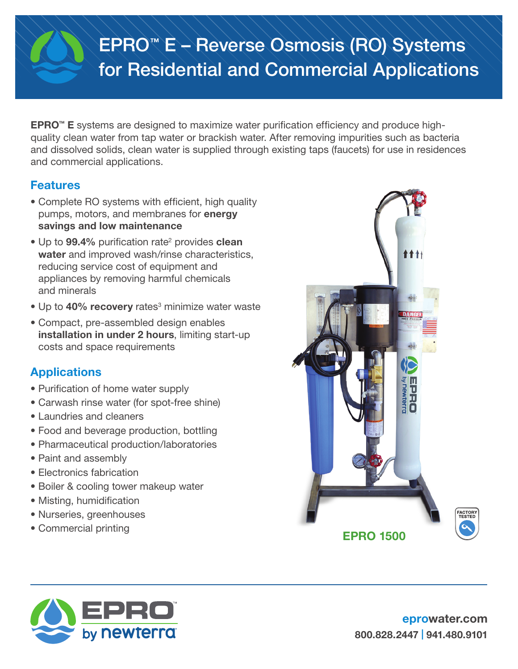# EPRO™ E – Reverse Osmosis (RO) Systems for Residential and Commercial Applications

**EPRO<sup>™</sup> E** systems are designed to maximize water purification efficiency and produce highquality clean water from tap water or brackish water. After removing impurities such as bacteria and dissolved solids, clean water is supplied through existing taps (faucets) for use in residences and commercial applications.

## Features

- Complete RO systems with efficient, high quality pumps, motors, and membranes for energy savings and low maintenance
- Up to 99.4% purification rate<sup>2</sup> provides clean water and improved wash/rinse characteristics, reducing service cost of equipment and appliances by removing harmful chemicals and minerals
- Up to 40% recovery rates<sup>3</sup> minimize water waste
- Compact, pre-assembled design enables installation in under 2 hours, limiting start-up costs and space requirements

## **Applications**

- Purification of home water supply
- Carwash rinse water (for spot-free shine)
- Laundries and cleaners
- Food and beverage production, bottling
- Pharmaceutical production/laboratories
- Paint and assembly
- Electronics fabrication
- Boiler & cooling tower makeup water
- Misting, humidification
- Nurseries, greenhouses
-